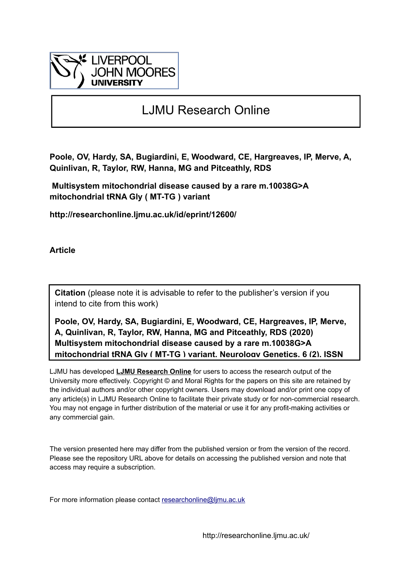

# LJMU Research Online

**Poole, OV, Hardy, SA, Bugiardini, E, Woodward, CE, Hargreaves, IP, Merve, A, Quinlivan, R, Taylor, RW, Hanna, MG and Pitceathly, RDS**

 **Multisystem mitochondrial disease caused by a rare m.10038G>A mitochondrial tRNA Gly ( MT-TG ) variant**

**http://researchonline.ljmu.ac.uk/id/eprint/12600/**

**Article**

**Citation** (please note it is advisable to refer to the publisher's version if you intend to cite from this work)

**Poole, OV, Hardy, SA, Bugiardini, E, Woodward, CE, Hargreaves, IP, Merve, A, Quinlivan, R, Taylor, RW, Hanna, MG and Pitceathly, RDS (2020) Multisystem mitochondrial disease caused by a rare m.10038G>A mitochondrial tRNA Gly ( MT-TG ) variant. Neurology Genetics, 6 (2). ISSN** 

LJMU has developed **[LJMU Research Online](http://researchonline.ljmu.ac.uk/)** for users to access the research output of the University more effectively. Copyright © and Moral Rights for the papers on this site are retained by the individual authors and/or other copyright owners. Users may download and/or print one copy of any article(s) in LJMU Research Online to facilitate their private study or for non-commercial research. You may not engage in further distribution of the material or use it for any profit-making activities or any commercial gain.

The version presented here may differ from the published version or from the version of the record. Please see the repository URL above for details on accessing the published version and note that access may require a subscription.

For more information please contact researchonline@limu.ac.uk

http://researchonline.ljmu.ac.uk/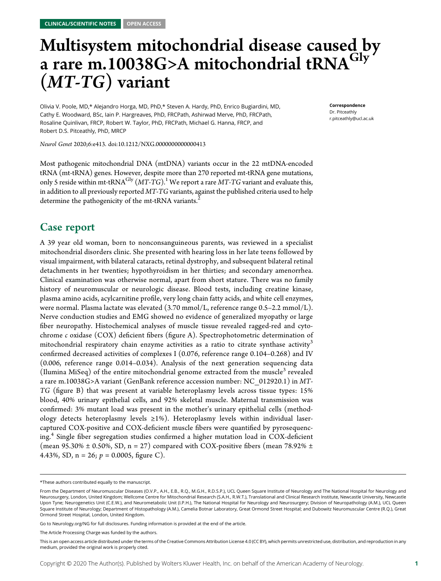# Multisystem mitochondrial disease caused by a rare m.10038G>A mitochondrial tRNA<sup>Gly</sup> (MT-TG) variant

Olivia V. Poole, MD,\* Alejandro Horga, MD, PhD,\* Steven A. Hardy, PhD, Enrico Bugiardini, MD, Cathy E. Woodward, BSc, Iain P. Hargreaves, PhD, FRCPath, Ashirwad Merve, PhD, FRCPath, Rosaline Quinlivan, FRCP, Robert W. Taylor, PhD, FRCPath, Michael G. Hanna, FRCP, and Robert D.S. Pitceathly, PhD, MRCP

Neurol Genet 2020;6:e413. doi:[10.1212/NXG.0000000000000413](http://dx.doi.org/10.1212/NXG.0000000000000413)

Most pathogenic mitochondrial DNA (mtDNA) variants occur in the 22 mtDNA-encoded tRNA (mt-tRNA) genes. However, despite more than 270 reported mt-tRNA gene mutations, only 5 reside within mt-tRNA<sup>Gly</sup>  $(MT\text{-}TG)$ .<sup>1</sup> We report a rare  $MT\text{-}TG$  variant and evaluate this, in addition to all previously reported  $MT-TG$  variants, against the published criteria used to help determine the pathogenicity of the mt-tRNA variants.<sup>2</sup>

## Case report

A 39 year old woman, born to nonconsanguineous parents, was reviewed in a specialist mitochondrial disorders clinic. She presented with hearing loss in her late teens followed by visual impairment, with bilateral cataracts, retinal dystrophy, and subsequent bilateral retinal detachments in her twenties; hypothyroidism in her thirties; and secondary amenorrhea. Clinical examination was otherwise normal, apart from short stature. There was no family history of neuromuscular or neurologic disease. Blood tests, including creatine kinase, plasma amino acids, acylcarnitine profile, very long chain fatty acids, and white cell enzymes, were normal. Plasma lactate was elevated (3.70 mmol/L, reference range 0.5–2.2 mmol/L). Nerve conduction studies and EMG showed no evidence of generalized myopathy or large fiber neuropathy. Histochemical analyses of muscle tissue revealed ragged-red and cytochrome c oxidase (COX) deficient fibers (figure A). Spectrophotometric determination of mitochondrial respiratory chain enzyme activities as a ratio to citrate synthase activity<sup>3</sup> confirmed decreased activities of complexes I (0.076, reference range 0.104–0.268) and IV (0.006, reference range 0.014–0.034). Analysis of the next generation sequencing data (Ilumina MiSeq) of the entire mitochondrial genome extracted from the muscle<sup>3</sup> revealed a rare m.10038G>A variant (GenBank reference accession number: NC\_012920.1) in MT-TG (figure B) that was present at variable heteroplasmy levels across tissue types: 15% blood, 40% urinary epithelial cells, and 92% skeletal muscle. Maternal transmission was confirmed: 3% mutant load was present in the mother's urinary epithelial cells (methodology detects heteroplasmy levels  $\geq 1\%$ ). Heteroplasmy levels within individual lasercaptured COX-positive and COX-deficient muscle fibers were quantified by pyrosequencing.<sup>4</sup> Single fiber segregation studies confirmed a higher mutation load in COX-deficient (mean 95.30%  $\pm$  0.50%, SD, n = 27) compared with COX-positive fibers (mean 78.92%  $\pm$ 4.43%, SD,  $n = 26$ ;  $p = 0.0005$ , figure C).

Go to [Neurology.org/NG](https://ng.neurology.org/content/6/2/e413/tab-article-info) for full disclosures. Funding information is provided at the end of the article.

Correspondence Dr. Pitceathly [r.pitceathly@ucl.ac.uk](mailto:r.pitceathly@ucl.ac.uk)

<sup>\*</sup>These authors contributed equally to the manuscript.

From the Department of Neuromuscular Diseases (O.V.P., A.H., E.B., R.Q., M.G.H., R.D.S.P.), UCL Queen Square Institute of Neurology and The National Hospital for Neurology and Neurosurgery, London, United Kingdom; Wellcome Centre for Mitochondrial Research (S.A.H., R.W.T.), Translational and Clinical Research Institute, Newcastle University, Newcastle Upon Tyne; Neurogenetics Unit (C.E.W.), and Neurometabolic Unit (I.P.H.), The National Hospital for Neurology and Neurosurgery; Division of Neuropathology (A.M.), UCL Queen Square Institute of Neurology; Department of Histopathology (A.M.), Camelia Botnar Laboratory, Great Ormond Street Hospital; and Dubowitz Neuromuscular Centre (R.Q.), Great Ormond Street Hospital, London, United Kingdom.

The Article Processing Charge was funded by the authors.

This is an open access article distributed under the terms of the [Creative Commons Attribution License 4.0 \(CC BY\),](http://creativecommons.org/licenses/by/4.0/) which permits unrestricted use, distribution, and reproduction in any medium, provided the original work is properly cited.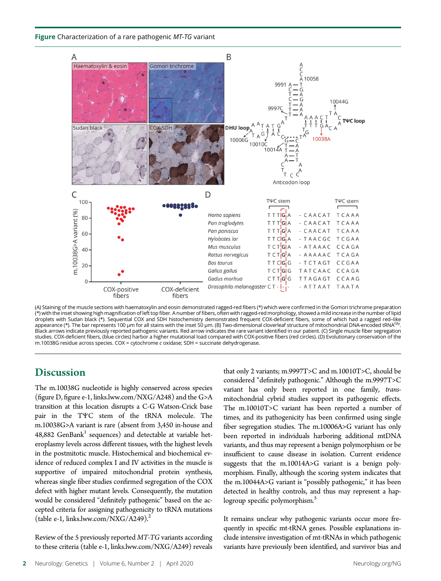Figure Characterization of a rare pathogenic MT-TG variant



(A) Staining of the muscle sections with haematoxylin and eosin demonstrated ragged-red fibers (\*) which were confirmed in the Gomori trichrome preparation (\*) with the inset showing high magnification of left top fiber. A number of fibers, often with ragged-redmorphology, showed a mild increase in the number of lipid droplets with Sudan black (\*). Sequential COX and SDH histochemistry demonstrated frequent COX-deficient fibers, some of which had a ragged red–like appearance (\*). The bar represents 100 µm for all stains with the inset 50 µm. (B) Two-dimensional cloverleaf structure of mitochondrial DNA-encoded tRNA<sup>Gly</sup>. Black arrows indicate previously reported pathogenic variants. Red arrow indicates the rare variant identified in our patient. (C) Single muscle fiber segregation studies. COX-deficient fibers, (blue circles) harbor a higher mutational load compared with COX-positive fibers (red circles). (D) Evolutionary conservation of the m.10038G residue across species. COX = cytochrome c oxidase; SDH = succinate dehydrogenase.

## **Discussion**

The m.10038G nucleotide is highly conserved across species (figure D, figure e-1, [links.lww.com/NXG/A248\)](http://links.lww.com/NXG/A248) and the G>A transition at this location disrupts a C-G Watson-Crick base pair in the TΨC stem of the tRNA molecule. The m.10038G>A variant is rare (absent from 3,450 in-house and  $48,882$  GenBank<sup>1</sup> sequences) and detectable at variable heteroplasmy levels across different tissues, with the highest levels in the postmitotic muscle. Histochemical and biochemical evidence of reduced complex I and IV activities in the muscle is supportive of impaired mitochondrial protein synthesis, whereas single fiber studies confirmed segregation of the COX defect with higher mutant levels. Consequently, the mutation would be considered "definitely pathogenic" based on the accepted criteria for assigning pathogenicity to tRNA mutations (table e-1, [links.lww.com/NXG/A249\)](http://links.lww.com/NXG/A249).<sup>2</sup>

Review of the 5 previously reported MT-TG variants according to these criteria (table e-1, [links.lww.com/NXG/A249\)](http://links.lww.com/NXG/A249) reveals that only 2 variants; m.9997T>C and m.10010T>C, should be considered "definitely pathogenic." Although the m.9997T>C variant has only been reported in one family, transmitochondrial cybrid studies support its pathogenic effects. The m.10010T>C variant has been reported a number of times, and its pathogenicity has been confirmed using single fiber segregation studies. The m.10006A>G variant has only been reported in individuals harboring additional mtDNA variants, and thus may represent a benign polymorphism or be insufficient to cause disease in isolation. Current evidence suggests that the m.10014A>G variant is a benign polymorphism. Finally, although the scoring system indicates that the m.10044A>G variant is "possibly pathogenic," it has been detected in healthy controls, and thus may represent a haplogroup specific polymorphism.<sup>5</sup>

It remains unclear why pathogenic variants occur more frequently in specific mt-tRNA genes. Possible explanations include intensive investigation of mt-tRNAs in which pathogenic variants have previously been identified, and survivor bias and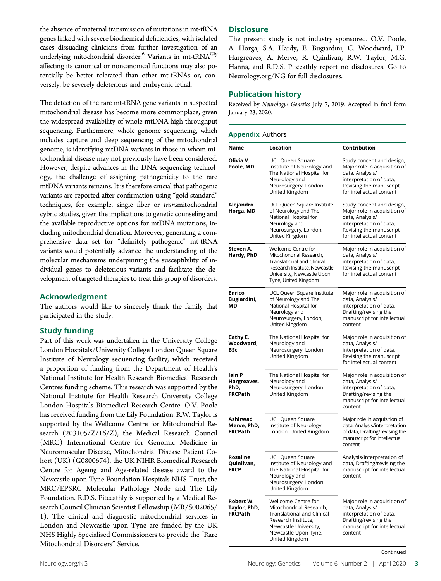the absence of maternal transmission of mutations in mt-tRNA genes linked with severe biochemical deficiencies, with isolated cases dissuading clinicians from further investigation of an underlying mitochondrial disorder.<sup>6</sup> Variants in mt-tRNA<sup>Gly</sup> affecting its canonical or noncanonical functions may also potentially be better tolerated than other mt-tRNAs or, conversely, be severely deleterious and embryonic lethal.

The detection of the rare mt-tRNA gene variants in suspected mitochondrial disease has become more commonplace, given the widespread availability of whole mtDNA high throughput sequencing. Furthermore, whole genome sequencing, which includes capture and deep sequencing of the mitochondrial genome, is identifying mtDNA variants in those in whom mitochondrial disease may not previously have been considered. However, despite advances in the DNA sequencing technology, the challenge of assigning pathogenicity to the rare mtDNA variants remains. It is therefore crucial that pathogenic variants are reported after confirmation using "gold-standard" techniques, for example, single fiber or transmitochondrial cybrid studies, given the implications to genetic counseling and the available reproductive options for mtDNA mutations, including mitochondrial donation. Moreover, generating a comprehensive data set for "definitely pathogenic" mt-tRNA variants would potentially advance the understanding of the molecular mechanisms underpinning the susceptibility of individual genes to deleterious variants and facilitate the development of targeted therapies to treat this group of disorders.

### Acknowledgment

The authors would like to sincerely thank the family that participated in the study.

### Study funding

Part of this work was undertaken in the University College London Hospitals/University College London Queen Square Institute of Neurology sequencing facility, which received a proportion of funding from the Department of Health's National Institute for Health Research Biomedical Research Centres funding scheme. This research was supported by the National Institute for Health Research University College London Hospitals Biomedical Research Centre. O.V. Poole has received funding from the Lily Foundation. R.W. Taylor is supported by the Wellcome Centre for Mitochondrial Research (203105/Z/16/Z), the Medical Research Council (MRC) International Centre for Genomic Medicine in Neuromuscular Disease, Mitochondrial Disease Patient Cohort (UK) (G0800674), the UK NIHR Biomedical Research Centre for Ageing and Age-related disease award to the Newcastle upon Tyne Foundation Hospitals NHS Trust, the MRC/EPSRC Molecular Pathology Node and The Lily Foundation. R.D.S. Pitceathly is supported by a Medical Research Council Clinician Scientist Fellowship (MR/S002065/ 1). The clinical and diagnostic mitochondrial services in London and Newcastle upon Tyne are funded by the UK NHS Highly Specialised Commissioners to provide the "Rare Mitochondrial Disorders" Service.

### **Disclosure**

The present study is not industry sponsored. O.V. Poole, A. Horga, S.A. Hardy, E. Bugiardini, C. Woodward, I.P. Hargreaves, A. Merve, R. Quinlivan, R.W. Taylor, M.G. Hanna, and R.D.S. Pitceathly report no disclosures. Go to [Neurology.org/NG](https://ng.neurology.org/content/6/2/e413/tab-article-info) for full disclosures.

### Publication history

Received by Neurology: Genetics July 7, 2019. Accepted in final form January 23, 2020.

### Appendix Authors Name Location Contribution Olivia V. Poole, MD UCL Queen Square Institute of Neurology and The National Hospital for Neurology and Neurosurgery, London, United Kingdom Study concept and design, Major role in acquisition of data, Analysis/ interpretation of data, Revising the manuscript for intellectual content Alejandro Horga, MD UCL Queen Square Institute of Neurology and The National Hospital for Neurology and Neurosurgery, London, United Kingdom Study concept and design, Major role in acquisition of data, Analysis/ interpretation of data, Revising the manuscript for intellectual content Steven A. Hardy, PhD Wellcome Centre for Mitochondrial Research, Translational and Clinical Research Institute, Newcastle University, Newcastle Upon Tyne, United Kingdom Major role in acquisition of data, Analysis/ interpretation of data, Revising the manuscript for intellectual content Enrico Bugiardini, MD UCL Queen Square Institute of Neurology and The National Hospital for Neurology and Neurosurgery, London, United Kingdom Major role in acquisition of data, Analysis/ interpretation of data, Drafting/revising the manuscript for intellectual content Cathy E. Woodward, **BSc** The National Hospital for Neurology and Neurosurgery, London, United Kingdom Major role in acquisition of data, Analysis/ interpretation of data, Revising the manuscript for intellectual content Iain P Hargreaves, PhD, FRCPath The National Hospital for Neurology and Neurosurgery, London, United Kingdom Major role in acquisition of data, Analysis/ interpretation of data, Drafting/revising the manuscript for intellectual content Ashirwad Merve, PhD, FRCPath UCL Queen Square Institute of Neurology, London, United Kingdom Major role in acquisition of data, Analysis/interpretation of data, Drafting/revising the manuscript for intellectual content Rosaline Quinlivan, FRCP UCL Queen Square Institute of Neurology and The National Hospital for Neurology and Neurosurgery, London, United Kingdom Analysis/interpretation of data, Drafting/revising the manuscript for intellectual content Robert W. Taylor, PhD, FRCPath Wellcome Centre for Mitochondrial Research, Translational and Clinical Research Institute, Major role in acquisition of data, Analysis/ interpretation of data, Drafting/revising the

manuscript for intellectual content

Newcastle University, Newcastle Upon Tyne, United Kingdom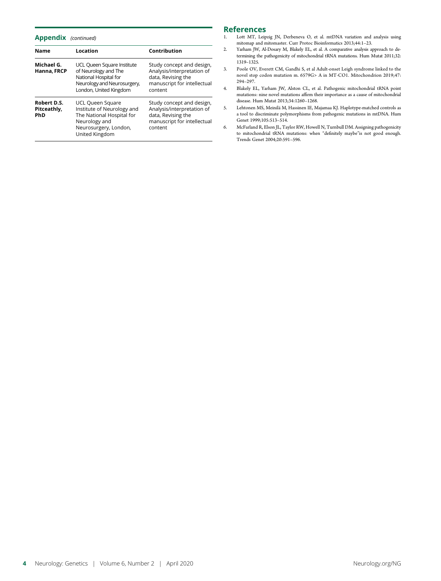### Appendix (continued)

| <b>Name</b>                              | Location                                                                                                                                                                                                                                                           | Contribution                                                                                                            |
|------------------------------------------|--------------------------------------------------------------------------------------------------------------------------------------------------------------------------------------------------------------------------------------------------------------------|-------------------------------------------------------------------------------------------------------------------------|
| Michael G.<br>Hanna, FRCP                | UCL Queen Square Institute<br>of Neurology and The<br>National Hospital for<br>Neurology and Neurosurgery,<br>London, United Kingdom                                                                                                                               | Study concept and design,<br>Analysis/interpretation of<br>data, Revising the<br>manuscript for intellectual<br>content |
| Robert D.S.<br>Pitceathly,<br><b>PhD</b> | Study concept and design,<br>UCL Queen Square<br>Analysis/interpretation of<br>Institute of Neurology and<br>The National Hospital for<br>data, Revising the<br>manuscript for intellectual<br>Neurology and<br>Neurosurgery, London,<br>content<br>United Kingdom |                                                                                                                         |

# References<br>1. Lott MT, Leip

- 1. Lott MT, Leipzig JN, Derbeneva O, et al. mtDNA variation and analysis using mitomap and mitomaster. Curr Protoc Bioinformatics 2013;44:1–23.
- 2. Yarham JW, Al-Dosary M, Blakely EL, et al. A comparative analysis approach to determining the pathogenicity of mitochondrial tRNA mutations. Hum Mutat 2011;32: 1319–1325.
- 3. Poole OV, Everett CM, Gandhi S, et al Adult-onset Leigh syndrome linked to the novel stop codon mutation m. 6579G> A in MT-CO1. Mitochondrion 2019;47: 294–297.
- 4. Blakely EL, Yarham JW, Alston CL, et al. Pathogenic mitochondrial tRNA point mutations: nine novel mutations affirm their importance as a cause of mitochondrial disease. Hum Mutat 2013;34:1260–1268.
- 5. Lehtonen MS, Meinilä M, Hassinen IE, Majamaa KJ. Haplotype-matched controls as a tool to discriminate polymorphisms from pathogenic mutations in mtDNA. Hum Genet 1999;105:513–514.
- 6. McFarland R, Elson JL, Taylor RW, Howell N, Turnbull DM. Assigning pathogenicity to mitochondrial tRNA mutations: when "definitely maybe"is not good enough. Trends Genet 2004;20:591–596.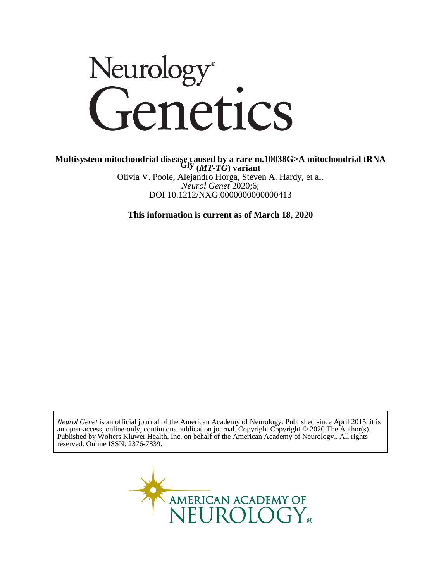# Neurology<sup>®</sup><br>Genetics

DOI 10.1212/NXG.0000000000000413 *Neurol Genet* 2020;6; Olivia V. Poole, Alejandro Horga, Steven A. Hardy, et al. **Gly (***MT-TG***) variant** Multisystem mitochondrial diseașe, caused by a rare m.10038G>A mitochondrial tRNA

**This information is current as of March 18, 2020**

reserved. Online ISSN: 2376-7839. Published by Wolters Kluwer Health, Inc. on behalf of the American Academy of Neurology.. All rights an open-access, online-only, continuous publication journal. Copyright Copyright © 2020 The Author(s). *Neurol Genet* is an official journal of the American Academy of Neurology. Published since April 2015, it is